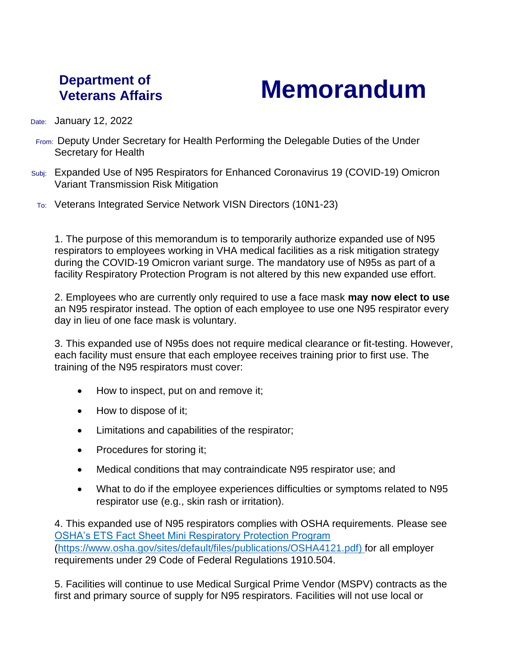## **Department of**

## **Veterans Affairs Memorandum**

Date: January 12, 2022

- From: Deputy Under Secretary for Health Performing the Delegable Duties of the Under Secretary for Health
- Subj: Expanded Use of N95 Respirators for Enhanced Coronavirus 19 (COVID-19) Omicron Variant Transmission Risk Mitigation
- To: Veterans Integrated Service Network VISN Directors (10N1-23)

1. The purpose of this memorandum is to temporarily authorize expanded use of N95 respirators to employees working in VHA medical facilities as a risk mitigation strategy during the COVID-19 Omicron variant surge. The mandatory use of N95s as part of a facility Respiratory Protection Program is not altered by this new expanded use effort.

2. Employees who are currently only required to use a face mask **may now elect to use** an N95 respirator instead. The option of each employee to use one N95 respirator every day in lieu of one face mask is voluntary.

3. This expanded use of N95s does not require medical clearance or fit-testing. However, each facility must ensure that each employee receives training prior to first use. The training of the N95 respirators must cover:

- How to inspect, put on and remove it;
- How to dispose of it;
- Limitations and capabilities of the respirator;
- Procedures for storing it;
- Medical conditions that may contraindicate N95 respirator use; and
- What to do if the employee experiences difficulties or symptoms related to N95 respirator use (e.g., skin rash or irritation).

4. This expanded use of N95 respirators complies with OSHA requirements. Please see [OSHA's ETS Fact Sheet Mini Respiratory Protection Program](https://gcc02.safelinks.protection.outlook.com/?url=https%3A%2F%2Fwww.osha.gov%2Fsites%2Fdefault%2Ffiles%2Fpublications%2FOSHA4121.pdf&data=04%7C01%7C%7Cb712795a411a4c618a3f08d9d48bf40b%7Ce95f1b23abaf45ee821db7ab251ab3bf%7C0%7C0%7C637774519828142160%7CUnknown%7CTWFpbGZsb3d8eyJWIjoiMC4wLjAwMDAiLCJQIjoiV2luMzIiLCJBTiI6Ik1haWwiLCJXVCI6Mn0%3D%7C3000&sdata=ocVWmwp3RPlLyzz9pQAeZR%2BlJMKldmqyfyOxJYSrgcU%3D&reserved=0) [\(https://www.osha.gov/sites/default/files/publications/OSHA4121.pdf\)](https://www.osha.gov/sites/default/files/publications/OSHA4121.pdf) for all employer requirements under 29 Code of Federal Regulations 1910.504.

5. Facilities will continue to use Medical Surgical Prime Vendor (MSPV) contracts as the first and primary source of supply for N95 respirators. Facilities will not use local or